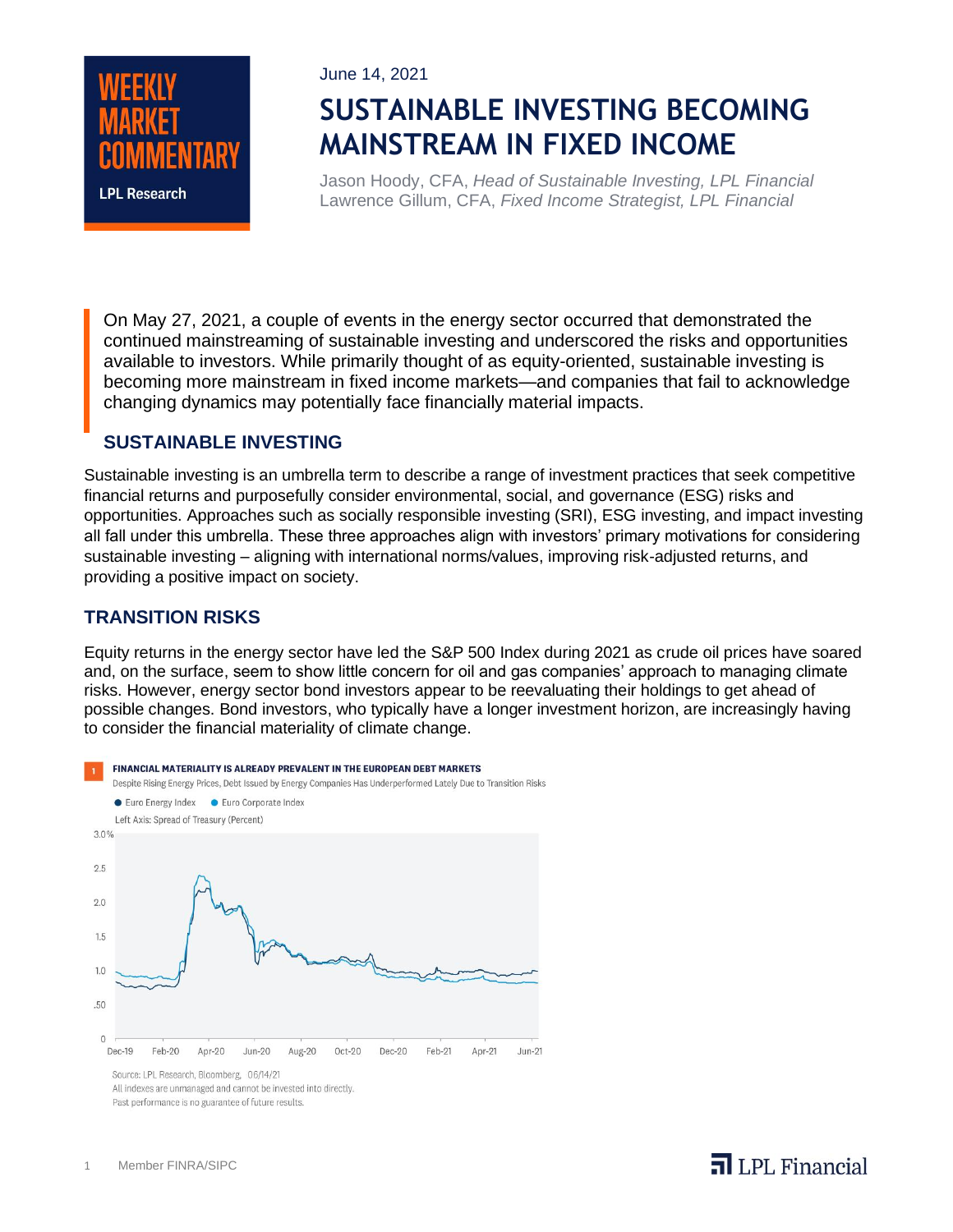

June 14, 2021

# **SUSTAINABLE INVESTING BECOMING MAINSTREAM IN FIXED INCOME**

Jason Hoody, CFA, *Head of Sustainable Investing, LPL Financial* Lawrence Gillum, CFA, *Fixed Income Strategist, LPL Financial*

On May 27, 2021, a couple of events in the energy sector occurred that demonstrated the continued mainstreaming of sustainable investing and underscored the risks and opportunities available to investors. While primarily thought of as equity-oriented, sustainable investing is becoming more mainstream in fixed income markets—and companies that fail to acknowledge changing dynamics may potentially face financially material impacts.

#### **SUSTAINABLE INVESTING**

Sustainable investing is an umbrella term to describe a range of investment practices that seek competitive financial returns and purposefully consider environmental, social, and governance (ESG) risks and opportunities. Approaches such as socially responsible investing (SRI), ESG investing, and impact investing all fall under this umbrella. These three approaches align with investors' primary motivations for considering sustainable investing – aligning with international norms/values, improving risk-adjusted returns, and providing a positive impact on society.

### **TRANSITION RISKS**

Equity returns in the energy sector have led the S&P 500 Index during 2021 as crude oil prices have soared and, on the surface, seem to show little concern for oil and gas companies' approach to managing climate risks. However, energy sector bond investors appear to be reevaluating their holdings to get ahead of possible changes. Bond investors, who typically have a longer investment horizon, are increasingly having to consider the financial materiality of climate change.



All indexes are unmanaged and cannot be invested into directly. Past performance is no guarantee of future results.

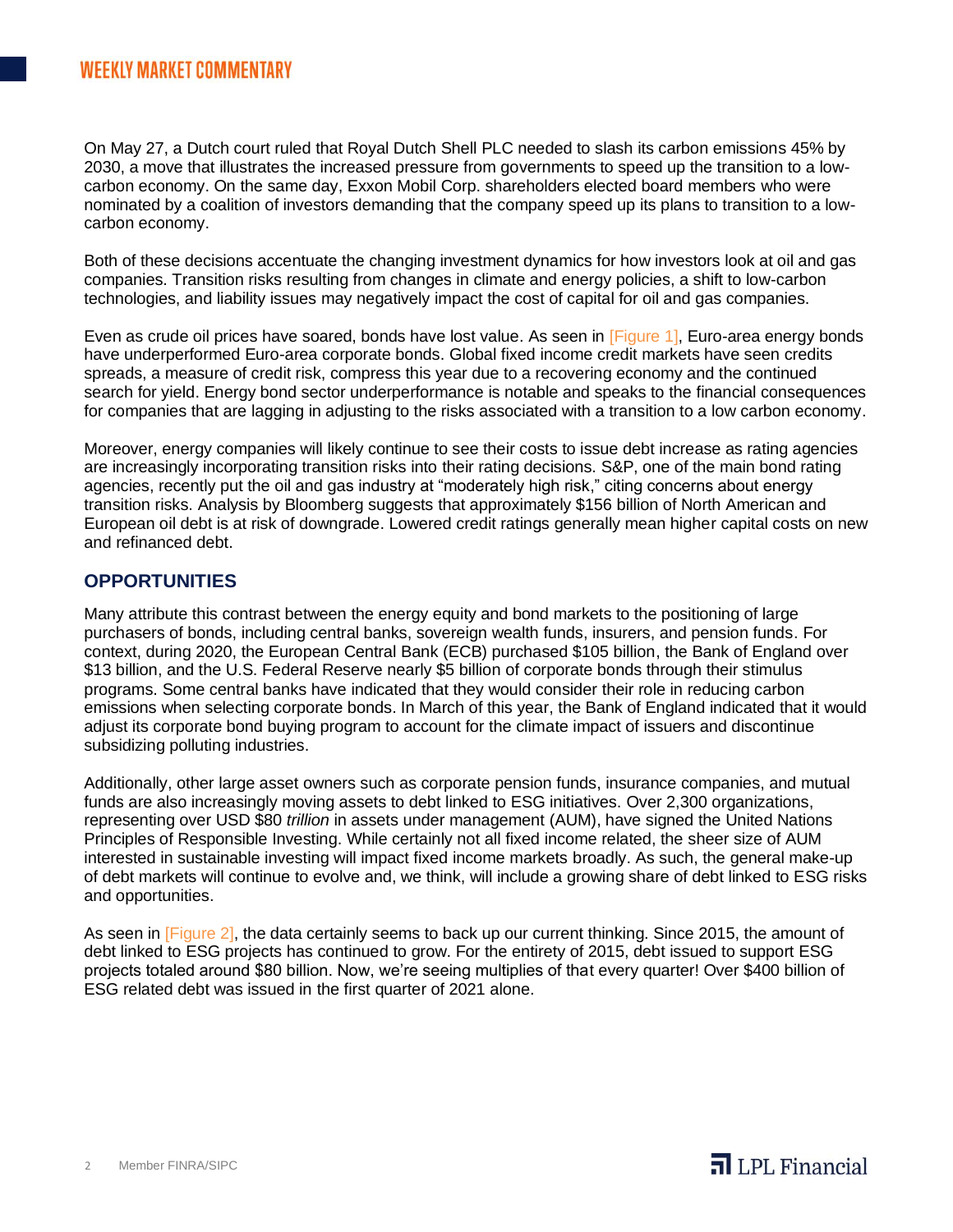On May 27, a Dutch court ruled that Royal Dutch Shell PLC needed to slash its carbon emissions 45% by 2030, a move that illustrates the increased pressure from governments to speed up the transition to a lowcarbon economy. On the same day, Exxon Mobil Corp. shareholders elected board members who were nominated by a coalition of investors demanding that the company speed up its plans to transition to a lowcarbon economy.

Both of these decisions accentuate the changing investment dynamics for how investors look at oil and gas companies. Transition risks resulting from changes in climate and energy policies, a shift to low-carbon technologies, and liability issues may negatively impact the cost of capital for oil and gas companies.

Even as crude oil prices have soared, bonds have lost value. As seen in [Figure 1], Euro-area energy bonds have underperformed Euro-area corporate bonds. Global fixed income credit markets have seen credits spreads, a measure of credit risk, compress this year due to a recovering economy and the continued search for yield. Energy bond sector underperformance is notable and speaks to the financial consequences for companies that are lagging in adjusting to the risks associated with a transition to a low carbon economy.

Moreover, energy companies will likely continue to see their costs to issue debt increase as rating agencies are increasingly incorporating transition risks into their rating decisions. S&P, one of the main bond rating agencies, recently put the oil and gas industry at "moderately high risk," citing concerns about energy transition risks. Analysis by Bloomberg suggests that approximately \$156 billion of North American and European oil debt is at risk of downgrade. Lowered credit ratings generally mean higher capital costs on new and refinanced debt.

#### **OPPORTUNITIES**

Many attribute this contrast between the energy equity and bond markets to the positioning of large purchasers of bonds, including central banks, sovereign wealth funds, insurers, and pension funds. For context, during 2020, the European Central Bank (ECB) purchased \$105 billion, the Bank of England over \$13 billion, and the U.S. Federal Reserve nearly \$5 billion of corporate bonds through their stimulus programs. Some central banks have indicated that they would consider their role in reducing carbon emissions when selecting corporate bonds. In March of this year, the Bank of England indicated that it would adjust its corporate bond buying program to account for the climate impact of issuers and discontinue subsidizing polluting industries.

Additionally, other large asset owners such as corporate pension funds, insurance companies, and mutual funds are also increasingly moving assets to debt linked to ESG initiatives. Over 2,300 organizations, representing over USD \$80 *trillion* in assets under management (AUM), have signed the United Nations Principles of Responsible Investing. While certainly not all fixed income related, the sheer size of AUM interested in sustainable investing will impact fixed income markets broadly. As such, the general make-up of debt markets will continue to evolve and, we think, will include a growing share of debt linked to ESG risks and opportunities.

As seen in [Figure 2], the data certainly seems to back up our current thinking. Since 2015, the amount of debt linked to ESG projects has continued to grow. For the entirety of 2015, debt issued to support ESG projects totaled around \$80 billion. Now, we're seeing multiplies of that every quarter! Over \$400 billion of ESG related debt was issued in the first quarter of 2021 alone.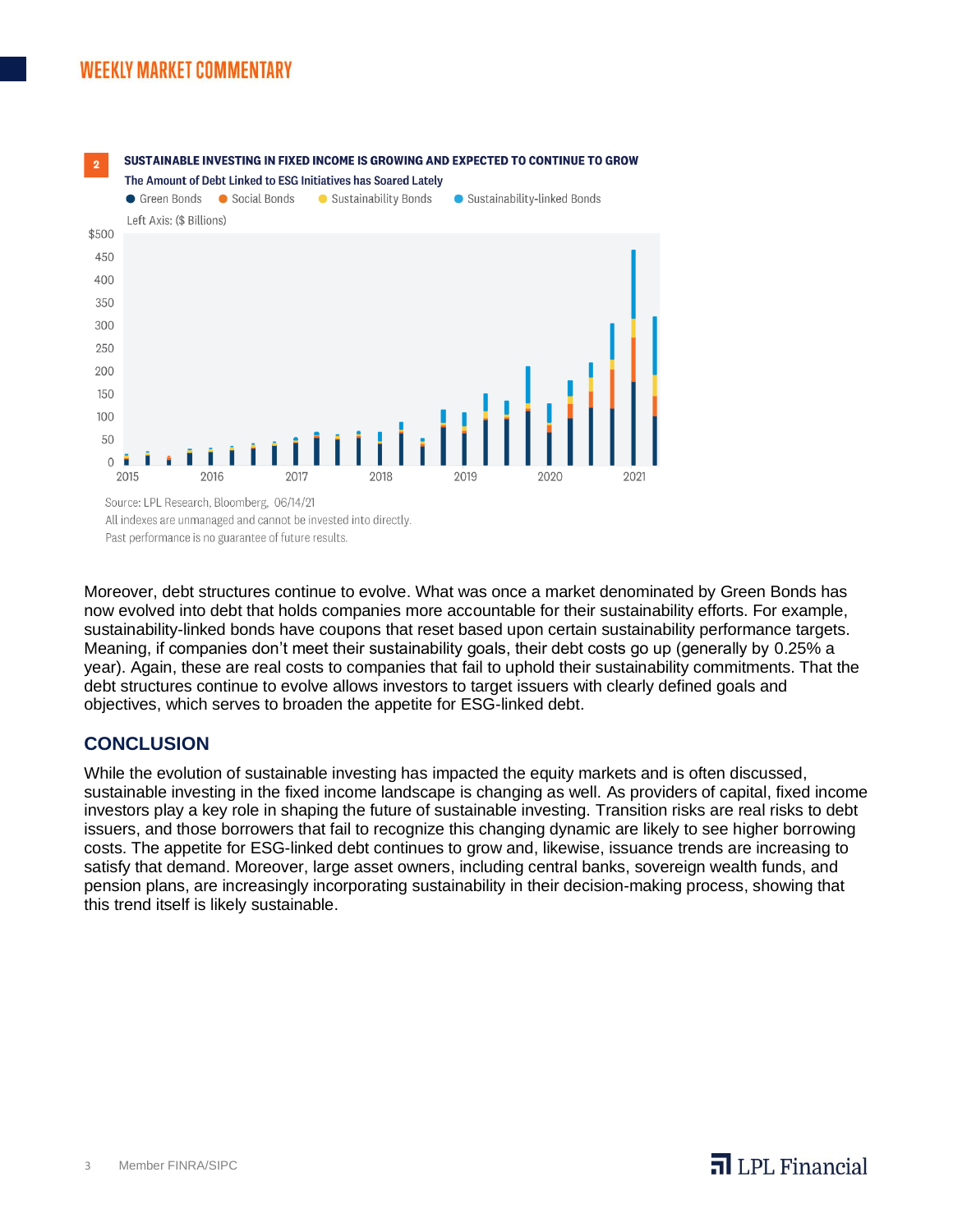## **WEEKLY MARKET COMMENTARY**



SUSTAINABLE INVESTING IN FIXED INCOME IS GROWING AND EXPECTED TO CONTINUE TO GROW

All indexes are unmanaged and cannot be invested into directly. Past performance is no guarantee of future results.

Moreover, debt structures continue to evolve. What was once a market denominated by Green Bonds has now evolved into debt that holds companies more accountable for their sustainability efforts. For example, sustainability-linked bonds have coupons that reset based upon certain sustainability performance targets. Meaning, if companies don't meet their sustainability goals, their debt costs go up (generally by 0.25% a year). Again, these are real costs to companies that fail to uphold their sustainability commitments. That the debt structures continue to evolve allows investors to target issuers with clearly defined goals and objectives, which serves to broaden the appetite for ESG-linked debt.

#### **CONCLUSION**

While the evolution of sustainable investing has impacted the equity markets and is often discussed, sustainable investing in the fixed income landscape is changing as well. As providers of capital, fixed income investors play a key role in shaping the future of sustainable investing. Transition risks are real risks to debt issuers, and those borrowers that fail to recognize this changing dynamic are likely to see higher borrowing costs. The appetite for ESG-linked debt continues to grow and, likewise, issuance trends are increasing to satisfy that demand. Moreover, large asset owners, including central banks, sovereign wealth funds, and pension plans, are increasingly incorporating sustainability in their decision-making process, showing that this trend itself is likely sustainable.